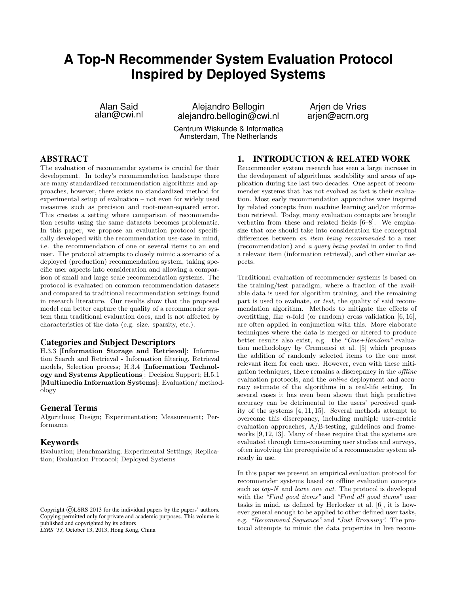# <span id="page-0-0"></span>**A Top-N Recommender System Evaluation Protocol Inspired by Deployed Systems**

Alan Said alan@cwi.nl

Alejandro Bellogín alejandro.bellogin@cwi.nl

Arjen de Vries arjen@acm.org

Centrum Wiskunde & Informatica Amsterdam, The Netherlands

## ABSTRACT

The evaluation of recommender systems is crucial for their development. In today's recommendation landscape there are many standardized recommendation algorithms and approaches, however, there exists no standardized method for experimental setup of evaluation – not even for widely used measures such as precision and root-mean-squared error. This creates a setting where comparison of recommendation results using the same datasets becomes problematic. In this paper, we propose an evaluation protocol specifically developed with the recommendation use-case in mind, i.e. the recommendation of one or several items to an end user. The protocol attempts to closely mimic a scenario of a deployed (production) recommendation system, taking specific user aspects into consideration and allowing a comparison of small and large scale recommendation systems. The protocol is evaluated on common recommendation datasets and compared to traditional recommendation settings found in research literature. Our results show that the proposed model can better capture the quality of a recommender system than traditional evaluation does, and is not affected by characteristics of the data (e.g. size. sparsity, etc.).

### Categories and Subject Descriptors

H.3.3 [Information Storage and Retrieval]: Information Search and Retrieval - Information filtering, Retrieval models, Selection process; H.3.4 [Information Technology and Systems Applications]: Decision Support; H.5.1 [Multimedia Information Systems]: Evaluation/ methodology

#### General Terms

Algorithms; Design; Experimentation; Measurement; Performance

#### Keywords

Evaluation; Benchmarking; Experimental Settings; Replication; Evaluation Protocol; Deployed Systems

*LSRS '13,* October 13, 2013, Hong Kong, China

# 1. INTRODUCTION & RELATED WORK

Recommender system research has seen a large increase in the development of algorithms, scalability and areas of application during the last two decades. One aspect of recommender systems that has not evolved as fast is their evaluation. Most early recommendation approaches were inspired by related concepts from machine learning and/or information retrieval. Today, many evaluation concepts are brought verbatim from these and related fields [\[6](#page-6-0)[–8\]](#page-6-1). We emphasize that one should take into consideration the conceptual differences between an item being recommended to a user (recommendation) and a query being posted in order to find a relevant item (information retrieval), and other similar aspects.

Traditional evaluation of recommender systems is based on the training/test paradigm, where a fraction of the available data is used for algorithm training, and the remaining part is used to evaluate, or test, the quality of said recommendation algorithm. Methods to mitigate the effects of overfitting, like *n*-fold (or random) cross validation  $[6, 16]$  $[6, 16]$  $[6, 16]$ , are often applied in conjunction with this. More elaborate techniques where the data is merged or altered to produce better results also exist, e.g. the "One+Random" evaluation methodology by Cremonesi et al. [\[5\]](#page-6-3) which proposes the addition of randomly selected items to the one most relevant item for each user. However, even with these mitigation techniques, there remains a discrepancy in the offline evaluation protocols, and the online deployment and accuracy estimate of the algorithms in a real-life setting. In several cases it has even been shown that high predictive accuracy can be detrimental to the users' perceived quality of the systems [\[4,](#page-6-4) [11,](#page-6-5) [15\]](#page-6-6). Several methods attempt to overcome this discrepancy, including multiple user-centric evaluation approaches, A/B-testing, guidelines and frameworks [\[9,](#page-6-7)[12,](#page-6-8)[13\]](#page-6-9). Many of these require that the systems are evaluated through time-consuming user studies and surveys, often involving the prerequisite of a recommender system already in use.

In this paper we present an empirical evaluation protocol for recommender systems based on offline evaluation concepts such as  $top-N$  and *leave one out*. The protocol is developed with the "Find good items" and "Find all good items" user tasks in mind, as defined by Herlocker et al. [\[6\]](#page-6-0), it is however general enough to be applied to other defined user tasks, e.g. "Recommend Sequence" and "Just Browsing". The protocol attempts to mimic the data properties in live recom-

Copyright ©LSRS 2013 for the individual papers by the papers' authors. Copying permitted only for private and academic purposes. This volume is published and copyrighted by its editors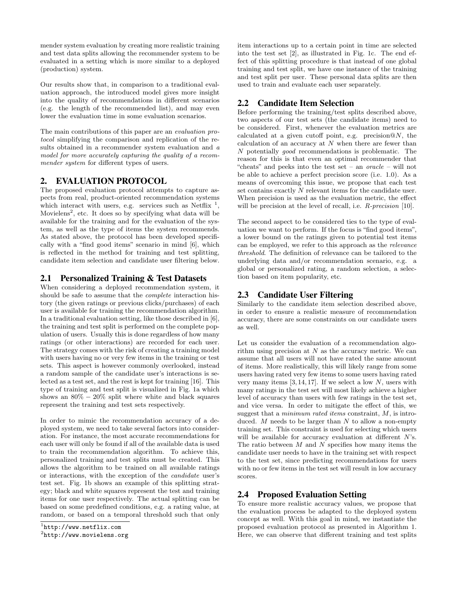mender system evaluation by creating more realistic training and test data splits allowing the recommender system to be evaluated in a setting which is more similar to a deployed (production) system.

Our results show that, in comparison to a traditional evaluation approach, the introduced model gives more insight into the quality of recommendations in different scenarios (e.g. the length of the recommended list), and may even lower the evaluation time in some evaluation scenarios.

The main contributions of this paper are an evaluation protocol simplifying the comparison and replication of the results obtained in a recommender system evaluation and a model for more accurately capturing the quality of a recommender system for different types of users.

# <span id="page-1-6"></span>2. EVALUATION PROTOCOL

The proposed evaluation protocol attempts to capture aspects from real, product-oriented recommendation systems which interact with users, e.g. services such as Netflix  $<sup>1</sup>$  $<sup>1</sup>$  $<sup>1</sup>$ ,</sup> Movielens<sup>[2](#page-1-1)</sup>, etc. It does so by specifying what data will be available for the training and for the evaluation of the system, as well as the type of items the system recommends. As stated above, the protocol has been developed specifically with a "find good items" scenario in mind [\[6\]](#page-6-0), which is reflected in the method for training and test splitting, candidate item selection and candidate user filtering below.

# <span id="page-1-2"></span>2.1 Personalized Training & Test Datasets

When considering a deployed recommendation system, it should be safe to assume that the complete interaction history (the given ratings or previous clicks/purchases) of each user is available for training the recommendation algorithm. In a traditional evaluation setting, like those described in [\[6\]](#page-6-0), the training and test split is performed on the complete population of users. Usually this is done regardless of how many ratings (or other interactions) are recorded for each user. The strategy comes with the risk of creating a training model with users having no or very few items in the training or test sets. This aspect is however commonly overlooked, instead a random sample of the candidate user's interactions is selected as a test set, and the rest is kept for training [\[16\]](#page-6-2). This type of training and test split is visualized in Fig. [1a](#page-2-0) which shows an  $80\% - 20\%$  split where white and black squares represent the training and test sets respectively.

In order to mimic the recommendation accuracy of a deployed system, we need to take several factors into consideration. For instance, the most accurate recommendations for each user will only be found if all of the available data is used to train the recommendation algorithm. To achieve this, personalized training and test splits must be created. This allows the algorithm to be trained on all available ratings or interactions, with the exception of the candidate user's test set. Fig. [1b](#page-2-0) shows an example of this splitting strategy; black and white squares represent the test and training items for one user respectively. The actual splitting can be based on some predefined conditions, e.g. a rating value, at random, or based on a temporal threshold such that only

item interactions up to a certain point in time are selected into the test set [\[2\]](#page-6-10), as illustrated in Fig. [1c.](#page-2-0) The end effect of this splitting procedure is that instead of one global training and test split, we have one instance of the training and test split per user. These personal data splits are then used to train and evaluate each user separately.

# <span id="page-1-3"></span>2.2 Candidate Item Selection

Before performing the training/test splits described above, two aspects of our test sets (the candidate items) need to be considered. First, whenever the evaluation metrics are calculated at a given cutoff point, e.g. precision  $\mathcal{N}(N)$ , the calculation of an accuracy at  $N$  when there are fewer than N potentially good recommendations is problematic. The reason for this is that even an optimal recommender that "cheats" and peeks into the test set – an oracle – will not be able to achieve a perfect precision score (i.e. 1.0). As a means of overcoming this issue, we propose that each test set contains exactly N relevant items for the candidate user. When precision is used as the evaluation metric, the effect will be precision at the level of recall, i.e. R-precision [\[10\]](#page-6-11).

The second aspect to be considered ties to the type of evaluation we want to perform. If the focus is "find good items", a lower bound on the ratings given to potential test items can be employed, we refer to this approach as the relevance threshold. The definition of relevance can be tailored to the underlying data and/or recommendation scenario, e.g. a global or personalized rating, a random selection, a selection based on item popularity, etc.

# <span id="page-1-4"></span>2.3 Candidate User Filtering

Similarly to the candidate item selection described above, in order to ensure a realistic measure of recommendation accuracy, there are some constraints on our candidate users as well.

Let us consider the evaluation of a recommendation algorithm using precision at  $N$  as the accuracy metric. We can assume that all users will not have rated the same amount of items. More realistically, this will likely range from some users having rated very few items to some users having rated very many items  $[3, 14, 17]$  $[3, 14, 17]$  $[3, 14, 17]$  $[3, 14, 17]$  $[3, 14, 17]$ . If we select a low N, users with many ratings in the test set will most likely achieve a higher level of accuracy than users with few ratings in the test set, and vice versa. In order to mitigate the effect of this, we suggest that a *minimum rated items* constraint,  $M$ , is introduced.  $M$  needs to be larger than  $N$  to allow a non-empty training set. This constraint is used for selecting which users will be available for accuracy evaluation at different N's. The ratio between  $M$  and  $N$  specifies how many items the candidate user needs to have in the training set with respect to the test set, since predicting recommendations for users with no or few items in the test set will result in low accuracy scores.

# <span id="page-1-5"></span>2.4 Proposed Evaluation Setting

To ensure more realistic accuracy values, we propose that the evaluation process be adapted to the deployed system concept as well. With this goal in mind, we instantiate the proposed evaluation protocol as presented in Algorithm [1.](#page-0-0) Here, we can observe that different training and test splits

<span id="page-1-0"></span><sup>1</sup> <http://www.netflix.com>

<span id="page-1-1"></span> $^{2}$ <http://www.movielens.org>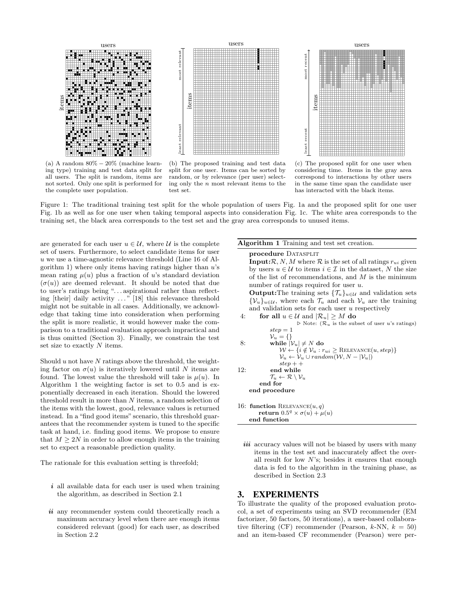<span id="page-2-0"></span>

(a) A random 80% − 20% (machine learning type) training and test data split for all users. The split is random, items are not sorted. Only one split is performed for the complete user population.

(b) The proposed training and test data split for one user. Items can be sorted by random, or by relevance (per user) selecting only the n most relevant items to the test set.

(c) The proposed split for one user when considering time. Items in the gray area correspond to interactions by other users in the same time span the candidate user has interacted with the black items.

Figure 1: The traditional training test split for the whole population of users Fig. [1a](#page-2-0) and the proposed split for one user Fig. [1b](#page-2-0) as well as for one user when taking temporal aspects into consideration Fig. [1c.](#page-2-0) The white area corresponds to the training set, the black area corresponds to the test set and the gray area corresponds to unused items.

are generated for each user  $u \in \mathcal{U}$ , where  $\mathcal{U}$  is the complete set of users. Furthermore, to select candidate items for user u we use a time-agnostic relevance threshold (Line [16](#page-2-1) of Al-gorithm [1\)](#page-0-0) where only items having ratings higher than  $u$ 's mean rating  $\mu(u)$  plus a fraction of u's standard deviation  $(\sigma(u))$  are deemed relevant. It should be noted that due to user's ratings being ". . . aspirational rather than reflecting [their] daily activity . . . " [\[18\]](#page-6-15) this relevance threshold might not be suitable in all cases. Additionally, we acknowledge that taking time into consideration when performing the split is more realistic, it would however make the comparison to a traditional evaluation approach impractical and is thus omitted (Section [3\)](#page-2-2). Finally, we constrain the test set size to exactly  $N$  items.

Should  $u$  not have  $N$  ratings above the threshold, the weighting factor on  $\sigma(u)$  is iteratively lowered until N items are found. The lowest value the threshold will take is  $\mu(u)$ . In Algorithm [1](#page-0-0) the weighting factor is set to 0.5 and is exponentially decreased in each iteration. Should the lowered threshold result in more than N items, a random selection of the items with the lowest, good, relevance values is returned instead. In a "find good items" scenario, this threshold guarantees that the recommender system is tuned to the specific task at hand, i.e. finding good items. We propose to ensure that  $M \geq 2N$  in order to allow enough items in the training set to expect a reasonable prediction quality.

The rationale for this evaluation setting is threefold;

- $i$  all available data for each user is used when training the algorithm, as described in Section [2.1](#page-1-2)
- ii any recommender system could theoretically reach a maximum accuracy level when there are enough items considered relevant (good) for each user, as described in Section [2.2](#page-1-3)

#### Algorithm 1 Training and test set creation.

procedure DATASPLIT **Input:** $\mathcal{R}, N, M$  where  $\mathcal{R}$  is the set of all ratings  $r_{ui}$  given by users  $u \in \mathcal{U}$  to items  $i \in \mathcal{I}$  in the dataset, N the size of the list of recommendations, and  $M$  is the minimum number of ratings required for user u. **Output:**The training sets  $\{\mathcal{T}_u\}_{u\in\mathcal{U}}$  and validation sets  $\{\mathcal{V}_u\}_{u\in\mathcal{U}}$ , where each  $\mathcal{T}_u$  and each  $\mathcal{V}_u$  are the training and validation sets for each user  $u$  respectively 4: for all  $u \in \mathcal{U}$  and  $|\mathcal{R}_u| > M$  do  $\triangleright$  Note:  $(\mathcal{R}_u$  is the subset of user u's ratings)  $step = 1$  $\mathcal{V}_u = \{\}$ 8: while  $|\mathcal{V}_u| \neq N$  do  $W \leftarrow \{i \notin \mathcal{V}_u : r_{ui} \geq \text{RELEVANCE}(u, step)\}$  $\mathcal{V}_u \leftarrow \mathcal{V}_u \cup random(\mathcal{W}, N - |\mathcal{V}_u|)$  $step + +$ 12: end while  $\mathcal{T}_u \leftarrow \mathcal{R} \setminus \mathcal{V}_u$ end for end procedure 16: function RELEVANCE $(u, q)$  $\textbf{return} \; 0.5^q \times \sigma(u) + \mu(u)$ end function

<span id="page-2-1"></span>iii accuracy values will not be biased by users with many items in the test set and inaccurately affect the overall result for low  $N$ 's; besides it ensures that enough data is fed to the algorithm in the training phase, as described in Section [2.3](#page-1-4)

### <span id="page-2-2"></span>3. EXPERIMENTS

To illustrate the quality of the proposed evaluation protocol, a set of experiments using an SVD recommender (EM factorizer, 50 factors, 50 iterations), a user-based collaborative filtering (CF) recommender (Pearson,  $k$ -NN,  $k = 50$ ) and an item-based CF recommender (Pearson) were per-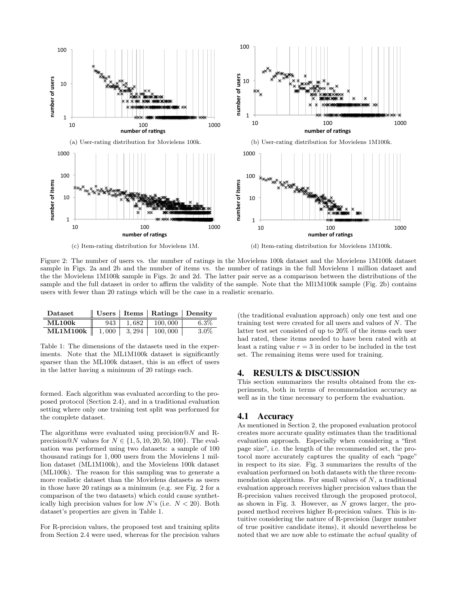<span id="page-3-0"></span>

Figure 2: The number of users vs. the number of ratings in the Movielens 100k dataset and the Movielens 1M100k dataset sample in Figs. [2a](#page-3-0) and [2b](#page-3-0) and the number of items vs. the number of ratings in the full Movielens 1 million dataset and the the Movielens 1M100k sample in Figs. [2c](#page-3-0) and [2d.](#page-3-0) The latter pair serve as a comparison between the distributions of the sample and the full dataset in order to affirm the validity of the sample. Note that the Ml1M100k sample (Fig. [2b\)](#page-3-0) contains users with fewer than 20 ratings which will be the case in a realistic scenario.

<span id="page-3-1"></span>

| Dataset            |     |       | $\parallel$ Users   Items   Ratings   Density |         |
|--------------------|-----|-------|-----------------------------------------------|---------|
| <b>ML100k</b>      | 943 | 1.682 | 100,000                                       | $6.3\%$ |
| $ML1M100k$   1.000 |     | 3.294 | 100,000                                       | 3.0%    |

þ

Table 1: The dimensions of the datasets used in the experiments. Note that the ML1M100k dataset is significantly sparser than the ML100k dataset, this is an effect of users in the latter having a minimum of 20 ratings each.

formed. Each algorithm was evaluated according to the proposed protocol (Section [2.4\)](#page-1-5), and in a traditional evaluation setting where only one training test split was performed for the complete dataset.

The algorithms were evaluated using precision  $@N$  and Rprecision@N values for  $N \in \{1, 5, 10, 20, 50, 100\}$ . The evaluation was performed using two datasets: a sample of 100 thousand ratings for 1, 000 users from the Movielens 1 million dataset (ML1M100k), and the Movielens 100k dataset (ML100k). The reason for this sampling was to generate a more realistic dataset than the Movielens datasets as users in those have 20 ratings as a minimum (e.g. see Fig. [2](#page-3-0) for a comparison of the two datasets) which could cause synthetically high precision values for low N's (i.e.  $N < 20$ ). Both dataset's properties are given in Table [1.](#page-3-1)

For R-precision values, the proposed test and training splits from Section [2.4](#page-1-5) were used, whereas for the precision values

(the traditional evaluation approach) only one test and one training test were created for all users and values of N. The latter test set consisted of up to 20% of the items each user had rated, these items needed to have been rated with at least a rating value  $r = 3$  in order to be included in the test set. The remaining items were used for training.

### 4. RESULTS & DISCUSSION

This section summarizes the results obtained from the experiments, both in terms of recommendation accuracy as well as in the time necessary to perform the evaluation.

### 4.1 Accuracy

As mentioned in Section [2,](#page-1-6) the proposed evaluation protocol creates more accurate quality estimates than the traditional evaluation approach. Especially when considering a "first page size", i.e. the length of the recommended set, the protocol more accurately captures the quality of each "page" in respect to its size. Fig. [3](#page-4-0) summarizes the results of the evaluation performed on both datasets with the three recommendation algorithms. For small values of  $N$ , a traditional evaluation approach receives higher precision values than the R-precision values received through the proposed protocol, as shown in Fig. [3.](#page-4-0) However, as  $N$  grows larger, the proposed method receives higher R-precision values. This is intuitive considering the nature of R-precision (larger number of true positive candidate items), it should nevertheless be noted that we are now able to estimate the actual quality of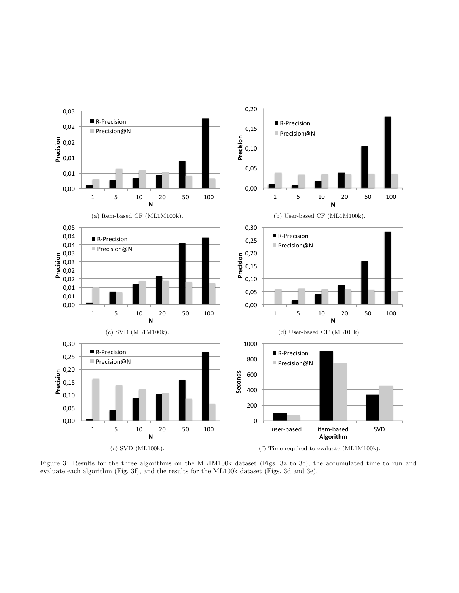<span id="page-4-0"></span>

Figure 3: Results for the three algorithms on the ML1M100k dataset (Figs. [3a](#page-4-0) to [3c\)](#page-4-0), the accumulated time to run and evaluate each algorithm (Fig. [3f\)](#page-4-0), and the results for the ML100k dataset (Figs. [3d](#page-4-0) and [3e\)](#page-4-0).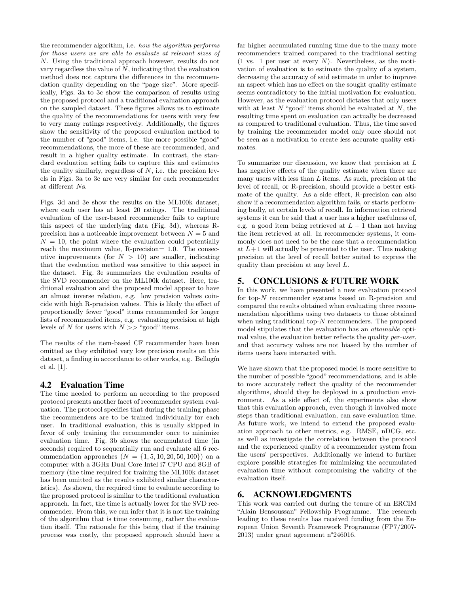the recommender algorithm, i.e. how the algorithm performs for those users we are able to evaluate at relevant sizes of N. Using the traditional approach however, results do not vary regardless the value of  $N$ , indicating that the evaluation method does not capture the differences in the recommendation quality depending on the "page size". More specifically, Figs. [3a](#page-4-0) to [3c](#page-4-0) show the comparison of results using the proposed protocol and a traditional evaluation approach on the sampled dataset. These figures allows us to estimate the quality of the recommendations for users with very few to very many ratings respectively. Additionally, the figures show the sensitivity of the proposed evaluation method to the number of "good" items, i.e. the more possible "good" recommendations, the more of these are recommended, and result in a higher quality estimate. In contrast, the standard evaluation setting fails to capture this and estimates the quality similarly, regardless of  $N$ , i.e. the precision levels in Figs. [3a](#page-4-0) to [3c](#page-4-0) are very similar for each recommender at different Ns.

Figs. [3d](#page-4-0) and [3e](#page-4-0) show the results on the ML100k dataset, where each user has at least 20 ratings. The traditional evaluation of the user-based recommender fails to capture this aspect of the underlying data (Fig. [3d\)](#page-4-0), whereas Rprecision has a noticeable improvement between  $N = 5$  and  $N = 10$ , the point where the evaluation could potentially reach the maximum value, R-precision= 1.0. The consecutive improvements (for  $N > 10$ ) are smaller, indicating that the evaluation method was sensitive to this aspect in the dataset. Fig. [3e](#page-4-0) summarizes the evaluation results of the SVD recommender on the ML100k dataset. Here, traditional evaluation and the proposed model appear to have an almost inverse relation, e.g. low precision values coincide with high R-precision values. This is likely the effect of proportionally fewer "good" items recommended for longer lists of recommended items, e.g. evaluating precision at high levels of N for users with  $N \gg$  "good" items.

The results of the item-based CF recommender have been omitted as they exhibited very low precision results on this dataset, a finding in accordance to other works, e.g. Bellogín et al. [\[1\]](#page-6-16).

## 4.2 Evaluation Time

The time needed to perform an according to the proposed protocol presents another facet of recommender system evaluation. The protocol specifies that during the training phase the recommenders are to be trained individually for each user. In traditional evaluation, this is usually skipped in favor of only training the recommender once to minimize evaluation time. Fig. [3b](#page-4-0) shows the accumulated time (in seconds) required to sequentially run and evaluate all 6 recommendation approaches  $(N = \{1, 5, 10, 20, 50, 100\})$  on a computer with a 3GHz Dual Core Intel i7 CPU and 8GB of memory (the time required for training the ML100k dataset has been omitted as the results exhibited similar characteristics). As shown, the required time to evaluate according to the proposed protocol is similar to the traditional evaluation approach. In fact, the time is actually lower for the SVD recommender. From this, we can infer that it is not the training of the algorithm that is time consuming, rather the evaluation itself. The rationale for this being that if the training process was costly, the proposed approach should have a

far higher accumulated running time due to the many more recommenders trained compared to the traditional setting  $(1 \text{ vs. } 1 \text{ per user at every } N)$ . Nevertheless, as the motivation of evaluation is to estimate the quality of a system, decreasing the accuracy of said estimate in order to improve an aspect which has no effect on the sought quality estimate seems contradictory to the initial motivation for evaluation. However, as the evaluation protocol dictates that only users with at least  $N$  "good" items should be evaluated at  $N$ , the resulting time spent on evaluation can actually be decreased as compared to traditional evaluation. Thus, the time saved by training the recommender model only once should not be seen as a motivation to create less accurate quality estimates.

To summarize our discussion, we know that precision at L has negative effects of the quality estimate when there are many users with less than  $L$  items. As such, precision at the level of recall, or R-precision, should provide a better estimate of the quality. As a side effect, R-precision can also show if a recommendation algorithm fails, or starts performing badly, at certain levels of recall. In information retrieval systems it can be said that a user has a higher usefulness of, e.g. a good item being retrieved at  $L + 1$  than not having the item retrieved at all. In recommender systems, it commonly does not need to be the case that a recommendation at  $L+1$  will actually be presented to the user. Thus making precision at the level of recall better suited to express the quality than precision at any level L.

# 5. CONCLUSIONS & FUTURE WORK

In this work, we have presented a new evaluation protocol for top-N recommender systems based on R-precision and compared the results obtained when evaluating three recommendation algorithms using two datasets to those obtained when using traditional top- $N$  recommenders. The proposed model stipulates that the evaluation has an attainable optimal value, the evaluation better reflects the quality per-user, and that accuracy values are not biased by the number of items users have interacted with.

We have shown that the proposed model is more sensitive to the number of possible "good" recommendations, and is able to more accurately reflect the quality of the recommender algorithms, should they be deployed in a production environment. As a side effect of, the experiments also show that this evaluation approach, even though it involved more steps than traditional evaluation, can save evaluation time. As future work, we intend to extend the proposed evaluation approach to other metrics, e.g. RMSE, nDCG, etc. as well as investigate the correlation between the protocol and the experienced quality of a recommender system from the users' perspectives. Additionally we intend to further explore possible strategies for minimizing the accumulated evaluation time without compromising the validity of the evaluation itself.

# 6. ACKNOWLEDGMENTS

This work was carried out during the tenure of an ERCIM "Alain Bensoussan" Fellowship Programme. The research leading to these results has received funding from the European Union Seventh Framework Programme (FP7/2007- 2013) under grant agreement n°246016.